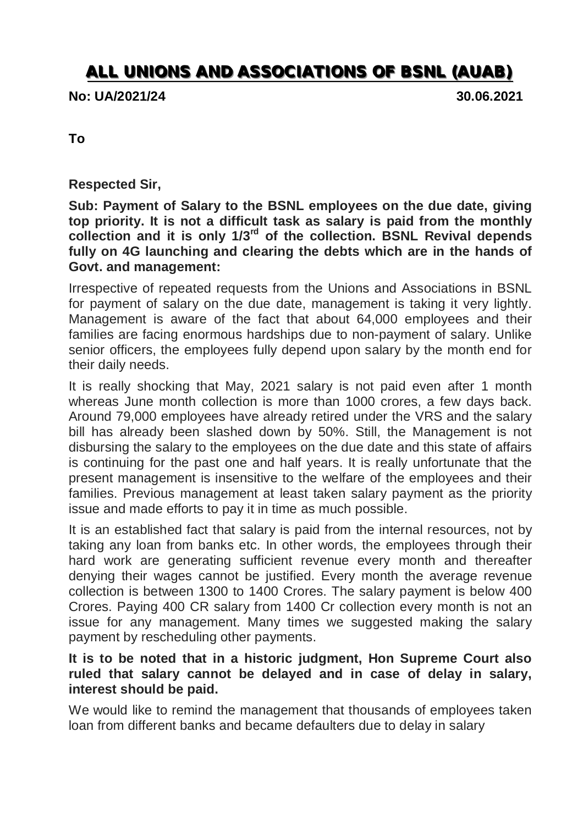## **ALL UNIONS AND ASSOCIATIONS OF BSNL (AUAB)**

**No: UA/2021/24 30.06.2021**

**To**

**Respected Sir,**

**Sub: Payment of Salary to the BSNL employees on the due date, giving top priority. It is not a difficult task as salary is paid from the monthly collection and it is only 1/3rd of the collection. BSNL Revival depends fully on 4G launching and clearing the debts which are in the hands of Govt. and management:**

Irrespective of repeated requests from the Unions and Associations in BSNL for payment of salary on the due date, management is taking it very lightly. Management is aware of the fact that about 64,000 employees and their families are facing enormous hardships due to non-payment of salary. Unlike senior officers, the employees fully depend upon salary by the month end for their daily needs.

It is really shocking that May, 2021 salary is not paid even after 1 month whereas June month collection is more than 1000 crores, a few days back. Around 79,000 employees have already retired under the VRS and the salary bill has already been slashed down by 50%. Still, the Management is not disbursing the salary to the employees on the due date and this state of affairs is continuing for the past one and half years. It is really unfortunate that the present management is insensitive to the welfare of the employees and their families. Previous management at least taken salary payment as the priority issue and made efforts to pay it in time as much possible.

It is an established fact that salary is paid from the internal resources, not by taking any loan from banks etc. In other words, the employees through their hard work are generating sufficient revenue every month and thereafter denying their wages cannot be justified. Every month the average revenue collection is between 1300 to 1400 Crores. The salary payment is below 400 Crores. Paying 400 CR salary from 1400 Cr collection every month is not an issue for any management. Many times we suggested making the salary payment by rescheduling other payments.

## **It is to be noted that in a historic judgment, Hon Supreme Court also ruled that salary cannot be delayed and in case of delay in salary, interest should be paid.**

We would like to remind the management that thousands of employees taken loan from different banks and became defaulters due to delay in salary